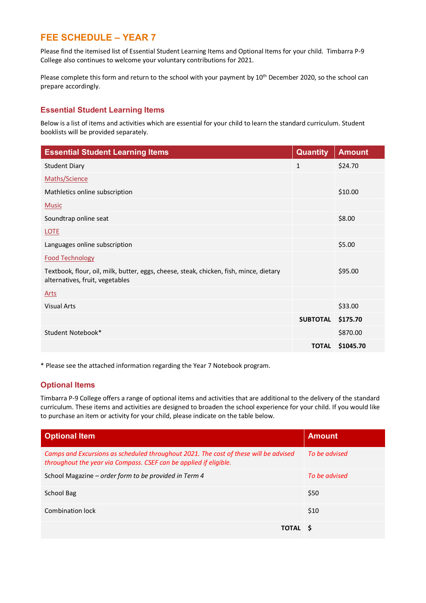# **FEE SCHEDULE – YEAR 7**

Please find the itemised list of Essential Student Learning Items and Optional Items for your child. Timbarra P-9 College also continues to welcome your voluntary contributions for 2021.

Please complete this form and return to the school with your payment by 10<sup>th</sup> December 2020, so the school can prepare accordingly.

### **Essential Student Learning Items**

Below is a list of items and activities which are essential for your child to learn the standard curriculum. Student booklists will be provided separately.

| <b>Essential Student Learning Items</b>                                                                                   | <b>Quantity</b> | <b>Amount</b> |
|---------------------------------------------------------------------------------------------------------------------------|-----------------|---------------|
| <b>Student Diary</b>                                                                                                      | $\mathbf{1}$    | \$24.70       |
| Maths/Science                                                                                                             |                 |               |
| Mathletics online subscription                                                                                            |                 | \$10.00       |
| <b>Music</b>                                                                                                              |                 |               |
| Soundtrap online seat                                                                                                     |                 | \$8.00        |
| <b>LOTE</b>                                                                                                               |                 |               |
| Languages online subscription                                                                                             |                 | \$5.00        |
| <b>Food Technology</b>                                                                                                    |                 |               |
| Textbook, flour, oil, milk, butter, eggs, cheese, steak, chicken, fish, mince, dietary<br>alternatives, fruit, vegetables |                 | \$95.00       |
| <b>Arts</b>                                                                                                               |                 |               |
| <b>Visual Arts</b>                                                                                                        |                 | \$33.00       |
|                                                                                                                           | <b>SUBTOTAL</b> | \$175.70      |
| Student Notebook*                                                                                                         |                 | \$870.00      |
|                                                                                                                           | <b>TOTAL</b>    | \$1045.70     |

\* Please see the attached information regarding the Year 7 Notebook program.

### **Optional Items**

Timbarra P-9 College offers a range of optional items and activities that are additional to the delivery of the standard curriculum. These items and activities are designed to broaden the school experience for your child. If you would like to purchase an item or activity for your child, please indicate on the table below.

| <b>Optional Item</b>                                                                                                                                      | <b>Amount</b> |
|-----------------------------------------------------------------------------------------------------------------------------------------------------------|---------------|
| Camps and Excursions as scheduled throughout 2021. The cost of these will be advised<br>throughout the year via Compass. CSEF can be applied if eligible. | To be advised |
| School Magazine – order form to be provided in Term 4                                                                                                     | To be advised |
| School Bag                                                                                                                                                | \$50          |
| Combination lock                                                                                                                                          | \$10          |
| TOTAL S                                                                                                                                                   |               |